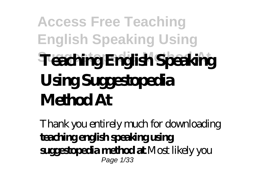## **Access Free Teaching English Speaking Using Suggestopedia Method At Teaching English Speaking Using Suggestopedia Method At**

Thank you entirely much for downloading **teaching english speaking using suggestopedia method at**.Most likely you Page 1/33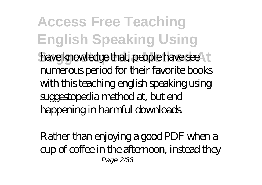**Access Free Teaching English Speaking Using** have knowledge that, people have see numerous period for their favorite books with this teaching english speaking using suggestopedia method at, but end happening in harmful downloads.

Rather than enjoying a good PDF when a cup of coffee in the afternoon, instead they Page 2/33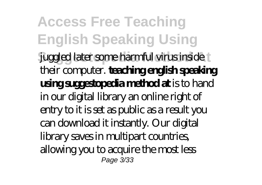**Access Free Teaching English Speaking Using** juggled later some harmful virus inside their computer. **teaching english speaking using suggestopedia method at** is to hand in our digital library an online right of entry to it is set as public as a result you can download it instantly. Our digital library saves in multipart countries, allowing you to acquire the most less Page 3/33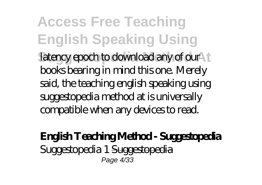**Access Free Teaching English Speaking Using** latency epoch to download any of our books bearing in mind this one. Merely said, the teaching english speaking using suggestopedia method at is universally compatible when any devices to read.

## **English Teaching Method - Suggestopedia** Suggestopedia 1 Suggestopedia Page 4/33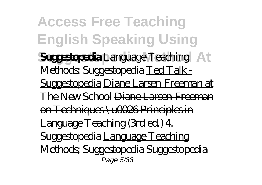**Access Free Teaching English Speaking Using Suggestopedia Method At Suggestopedia** *Language Teaching Methods: Suggestopedia* Ted Talk - Suggestopedia Diane Larsen-Freeman at The New School Diane Larsen-Freeman on Techniques \u0026 Principles in Language Teaching (3rd ed.) *4. Suggestopedia* Language Teaching Methods; Suggestopedia Suggestopedia Page 5/33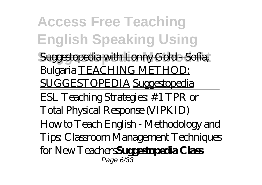**Access Free Teaching English Speaking Using Suggestopedia with Lonny Gold - Sofia** Bulgaria TEACHING METHOD: SUGGESTOPEDIA Suggestopedia ESL Teaching Strategies: #1 TPR or Total Physical Response (VIPKID) How to Teach English - Methodology and Tips: Classroom Management Techniques for New Teachers**Suggestopedia Class** Page 6/33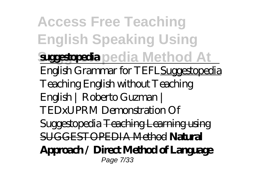**Access Free Teaching English Speaking Using Suggestopedia Method At suggestopedia** English Grammar for TEFLSuggestopedia *Teaching English without Teaching English | Roberto Guzman | TEDxUPRM Demonstration Of Suggestopedia* Teaching Learning using SUGGESTOPEDIA Method **Natural Approach / Direct Method of Language** Page 7/33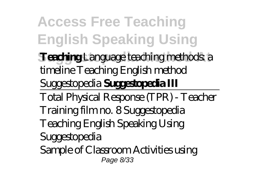**Access Free Teaching English Speaking Using Teaching** *Language teaching methods a timeline* Teaching English method Suggestopedia **Suggestopedia III** Total Physical Response (TPR) - Teacher Training film no. 8 Suggestopedia *Teaching English Speaking Using Suggestopedia* Sample of Classroom Activities using Page 8/33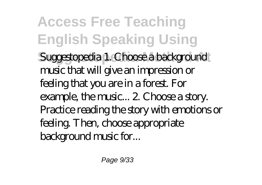**Access Free Teaching English Speaking Using** Suggestopedia 1. Choose a background music that will give an impression or feeling that you are in a forest. For example, the music... 2. Choose a story. Practice reading the story with emotions or feeling. Then, choose appropriate background music for...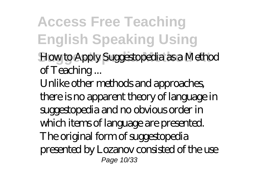**Access Free Teaching English Speaking Using Suggestopedia Method At** *How to Apply Suggestopedia as a Method of Teaching ...* Unlike other methods and approaches, there is no apparent theory of language in suggestopedia and no obvious order in which items of language are presented. The original form of suggestopedia presented by Lozanov consisted of the use Page 10/33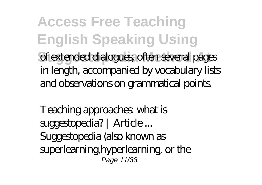**Access Free Teaching English Speaking Using** of extended dialogues, often several pages in length, accompanied by vocabulary lists and observations on grammatical points.

*Teaching approaches: what is suggestopedia? | Article ...* Suggestopedia (also known as superlearning, hyperlearning, or the Page 11/33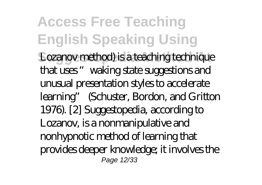**Access Free Teaching English Speaking Using** Lozanov method) is a teaching technique that uses "waking state suggestions and unusual presentation styles to accelerate learning" (Schuster, Bordon, and Gritton 1976). [2] Suggestopedia, according to Lozanov, is a nonmanipulative and nonhypnotic method of learning that provides deeper knowledge; it involves the Page 12/33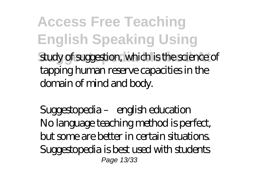**Access Free Teaching English Speaking Using** study of suggestion, which is the science of tapping human reserve capacities in the domain of mind and body.

*Suggestopedia – english education* No language teaching method is perfect, but some are better in certain situations. Suggestopedia is best used with students Page 13/33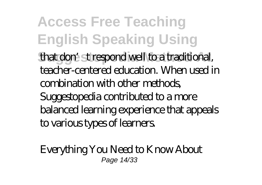**Access Free Teaching English Speaking Using** that don't respond well to a traditional, teacher-centered education. When used in combination with other methods, Suggestopedia contributed to a more balanced learning experience that appeals to various types of learners.

*Everything You Need to Know About* Page 14/33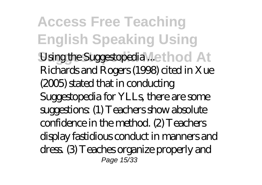**Access Free Teaching English Speaking Using** *<i>Using the Suggestopedia* ...ethod At Richards and Rogers (1998) cited in Xue (2005) stated that in conducting Suggestopedia for YLLs, there are some suggestions: (1) Teachers show absolute confidence in the method. (2) Teachers display fastidious conduct in manners and dress. (3) Teaches organize properly and Page 15/33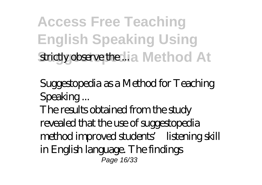**Access Free Teaching English Speaking Using Strictly observe the ... is a Method At** 

*Suggestopedia as a Method for Teaching Speaking ...*

The results obtained from the study revealed that the use of suggestopedia method improved students' listening skill in English language. The findings Page 16/33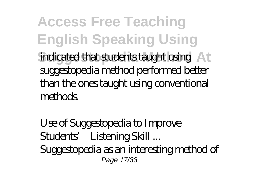**Access Free Teaching English Speaking Using** indicated that students taught using At suggestopedia method performed better than the ones taught using conventional methods.

*Use of Suggestopedia to Improve Students' Listening Skill ...* Suggestopedia as an interesting method of Page 17/33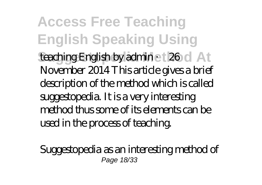**Access Free Teaching English Speaking Using teaching English by admin 26 d** At November 2014 This article gives a brief description of the method which is called suggestopedia. It is a very interesting method thus some of its elements can be used in the process of teaching.

*Suggestopedia as an interesting method of* Page 18/33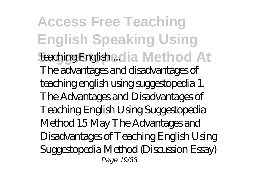**Access Free Teaching English Speaking Using Suggestopedia Method At** *teaching English ...* The advantages and disadvantages of teaching english using suggestopedia 1. The Advantages and Disadvantages of Teaching English Using Suggestopedia Method 15 May The Advantages and Disadvantages of Teaching English Using Suggestopedia Method (Discussion Essay) Page 19/33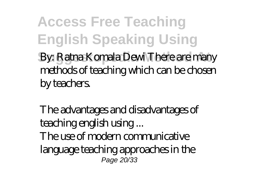**Access Free Teaching English Speaking Using By: Ratna Komala Dewi There are many** methods of teaching which can be chosen by teachers.

*The advantages and disadvantages of teaching english using ...* The use of modern communicative language teaching approaches in the Page 20/33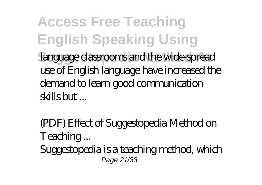**Access Free Teaching English Speaking Using** language classrooms and the wide-spread use of English language have increased the demand to learn good communication  $s$ skill $s$  but

*(PDF) Effect of Suggestopedia Method on Teaching ...* Suggestopedia is a teaching method, which Page 21/33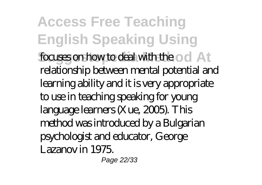**Access Free Teaching English Speaking Using focuses on how to deal with the od At** relationship between mental potential and learning ability and it is very appropriate to use in teaching speaking for young language learners (Xue, 2005). This method was introduced by a Bulgarian psychologist and educator, George Lazanov in 1975.

Page 22/33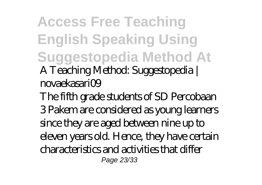**Access Free Teaching English Speaking Using Suggestopedia Method At** *A Teaching Method: Suggestopedia | novaekasari09*

The fifth grade students of SD Percobaan 3 Pakem are considered as young learners since they are aged between nine up to eleven years old. Hence, they have certain characteristics and activities that differ Page 23/33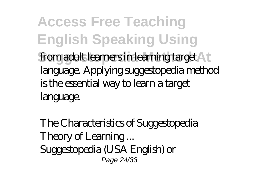**Access Free Teaching English Speaking Using** from adult learners in learning target **A** f language. Applying suggestopedia method is the essential way to learn a target language.

*The Characteristics of Suggestopedia Theory of Learning ...* Suggestopedia (USA English) or Page 24/33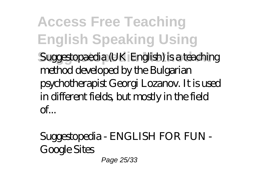**Access Free Teaching English Speaking Using** Suggestopaedia (UK English) is a teaching method developed by the Bulgarian psychotherapist Georgi Lozanov. It is used in different fields, but mostly in the field  $\alpha$ <sup> $\epsilon$ </sup>...

*Suggestopedia - ENGLISH FOR FUN - Google Sites* Page 25/33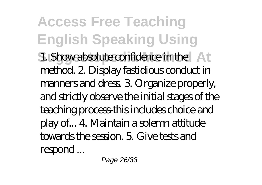**Access Free Teaching English Speaking Using 1. Show absolute confidence in the At** method. 2. Display fastidious conduct in manners and dress. 3. Organize properly, and strictly observe the initial stages of the teaching process-this includes choice and play of... 4. Maintain a solemn attitude towards the session. 5. Give tests and respond ...

Page 26/33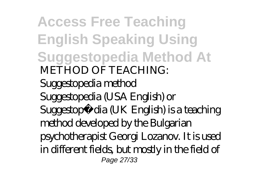**Access Free Teaching English Speaking Using Suggestopedia Method At** *METHOD OF TEACHING: Suggestopedia method* Suggestopedia (USA English) or Suggestopædia (UK English) is a teaching method developed by the Bulgarian psychotherapist Georgi Lozanov. It is used in different fields, but mostly in the field of Page 27/33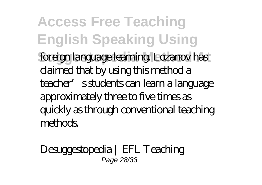**Access Free Teaching English Speaking Using Suggestopedia Method At** foreign language learning. Lozanov has claimed that by using this method a teacher's students can learn a language approximately three to five times as quickly as through conventional teaching methods.

*Desuggestopedia | EFL Teaching* Page 28/33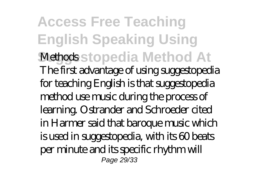**Access Free Teaching English Speaking Using** *Methods***stopedia Method At** The first advantage of using suggestopedia for teaching English is that suggestopedia method use music during the process of learning. Ostrander and Schroeder cited in Harmer said that baroque music which is used in suggestopedia, with its 60 beats per minute and its specific rhythm will Page 29/33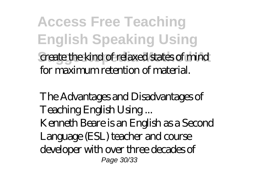**Access Free Teaching English Speaking Using Suggestopedia Method At** create the kind of relaxed states of mind for maximum retention of material.

*The Advantages and Disadvantages of Teaching English Using ...* Kenneth Beare is an English as a Second Language (ESL) teacher and course developer with over three decades of Page 30/33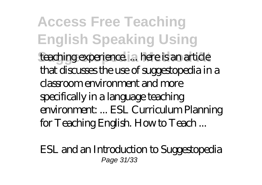**Access Free Teaching English Speaking Using** teaching experience. ... here is an article that discusses the use of suggestopedia in a classroom environment and more specifically in a language teaching environment: ... ESL Curriculum Planning for Teaching English. How to Teach ...

*ESL and an Introduction to Suggestopedia* Page 31/33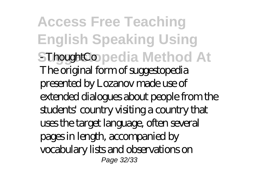**Access Free Teaching English Speaking Using SThoughtCo** pedia Method At The original form of suggestopedia presented by Lozanov made use of extended dialogues about people from the students' country visiting a country that uses the target language, often several pages in length, accompanied by vocabulary lists and observations on Page 32/33